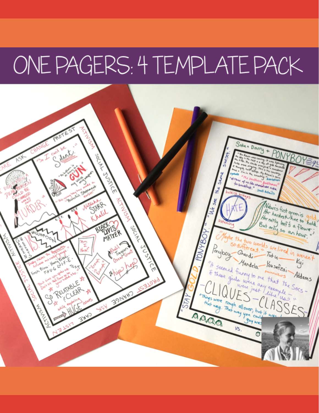## ONE PAGERS: 4 TEMPLATE PACK

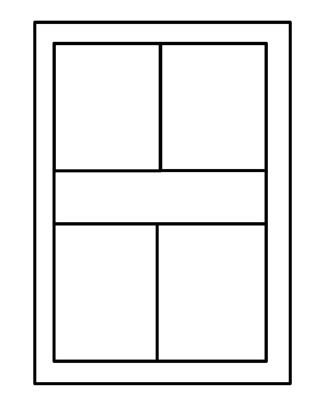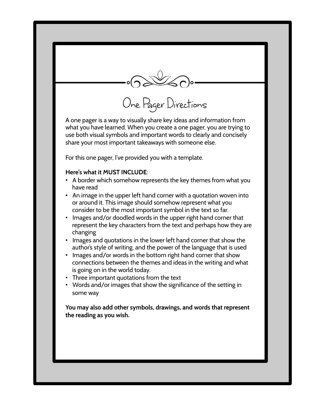

A one pager is a way to visually share key ideas and information from what you have learned. When you create a one pager, you are trying to use both visual symbols and important words to clearly and concisely share your most important takeaways with someone else.

For this one pager, I've provided you with a template.

## **Here's what it MUST INCLUDE**:

- A border which somehow represents the key themes from what you have read
- An image in the upper left hand corner with a quotation woven into or around it. This image should somehow represent what you consider to be the most important symbol in the text so far.
- Images and/or doodled words in the upper right hand corner that represent the key characters from the text and perhaps how they are changing
- Images and quotations in the lower left hand corner that show the author's style of writing, and the power of the language that is used
- Images and/or words in the bottom right hand corner that show connections between the themes and ideas in the writing and what is going on in the world today.
- Three important quotations from the text
- Words and/or images that show the significance of the setting in some way

**You may also add other symbols, drawings, and words that represent the reading as you wish.**